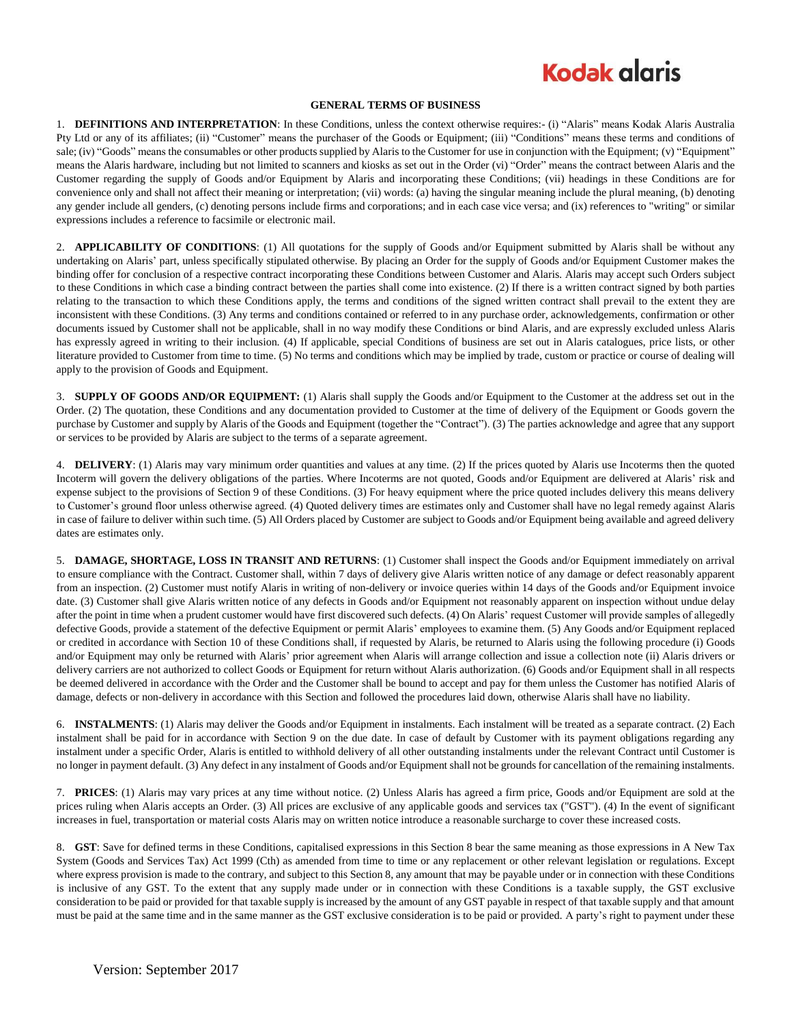## **Kodak alaris**

#### **GENERAL TERMS OF BUSINESS**

1. **DEFINITIONS AND INTERPRETATION**: In these Conditions, unless the context otherwise requires:- (i) "Alaris" means Kodak Alaris Australia Pty Ltd or any of its affiliates; (ii) "Customer" means the purchaser of the Goods or Equipment; (iii) "Conditions" means these terms and conditions of sale; (iv) "Goods" means the consumables or other products supplied by Alaris to the Customer for use in conjunction with the Equipment; (v) "Equipment" means the Alaris hardware, including but not limited to scanners and kiosks as set out in the Order (vi) "Order" means the contract between Alaris and the Customer regarding the supply of Goods and/or Equipment by Alaris and incorporating these Conditions; (vii) headings in these Conditions are for convenience only and shall not affect their meaning or interpretation; (vii) words: (a) having the singular meaning include the plural meaning, (b) denoting any gender include all genders, (c) denoting persons include firms and corporations; and in each case vice versa; and (ix) references to "writing" or similar expressions includes a reference to facsimile or electronic mail.

2. **APPLICABILITY OF CONDITIONS**: (1) All quotations for the supply of Goods and/or Equipment submitted by Alaris shall be without any undertaking on Alaris' part, unless specifically stipulated otherwise. By placing an Order for the supply of Goods and/or Equipment Customer makes the binding offer for conclusion of a respective contract incorporating these Conditions between Customer and Alaris. Alaris may accept such Orders subject to these Conditions in which case a binding contract between the parties shall come into existence. (2) If there is a written contract signed by both parties relating to the transaction to which these Conditions apply, the terms and conditions of the signed written contract shall prevail to the extent they are inconsistent with these Conditions. (3) Any terms and conditions contained or referred to in any purchase order, acknowledgements, confirmation or other documents issued by Customer shall not be applicable, shall in no way modify these Conditions or bind Alaris, and are expressly excluded unless Alaris has expressly agreed in writing to their inclusion. (4) If applicable, special Conditions of business are set out in Alaris catalogues, price lists, or other literature provided to Customer from time to time. (5) No terms and conditions which may be implied by trade, custom or practice or course of dealing will apply to the provision of Goods and Equipment.

3. **SUPPLY OF GOODS AND/OR EQUIPMENT:** (1) Alaris shall supply the Goods and/or Equipment to the Customer at the address set out in the Order. (2) The quotation, these Conditions and any documentation provided to Customer at the time of delivery of the Equipment or Goods govern the purchase by Customer and supply by Alaris of the Goods and Equipment (together the "Contract"). (3) The parties acknowledge and agree that any support or services to be provided by Alaris are subject to the terms of a separate agreement.

4. **DELIVERY**: (1) Alaris may vary minimum order quantities and values at any time. (2) If the prices quoted by Alaris use Incoterms then the quoted Incoterm will govern the delivery obligations of the parties. Where Incoterms are not quoted, Goods and/or Equipment are delivered at Alaris' risk and expense subject to the provisions of Section 9 of these Conditions. (3) For heavy equipment where the price quoted includes delivery this means delivery to Customer's ground floor unless otherwise agreed. (4) Quoted delivery times are estimates only and Customer shall have no legal remedy against Alaris in case of failure to deliver within such time. (5) All Orders placed by Customer are subject to Goods and/or Equipment being available and agreed delivery dates are estimates only.

5. **DAMAGE, SHORTAGE, LOSS IN TRANSIT AND RETURNS**: (1) Customer shall inspect the Goods and/or Equipment immediately on arrival to ensure compliance with the Contract. Customer shall, within 7 days of delivery give Alaris written notice of any damage or defect reasonably apparent from an inspection. (2) Customer must notify Alaris in writing of non-delivery or invoice queries within 14 days of the Goods and/or Equipment invoice date. (3) Customer shall give Alaris written notice of any defects in Goods and/or Equipment not reasonably apparent on inspection without undue delay after the point in time when a prudent customer would have first discovered such defects. (4) On Alaris' request Customer will provide samples of allegedly defective Goods, provide a statement of the defective Equipment or permit Alaris' employees to examine them. (5) Any Goods and/or Equipment replaced or credited in accordance with Section 10 of these Conditions shall, if requested by Alaris, be returned to Alaris using the following procedure (i) Goods and/or Equipment may only be returned with Alaris' prior agreement when Alaris will arrange collection and issue a collection note (ii) Alaris drivers or delivery carriers are not authorized to collect Goods or Equipment for return without Alaris authorization. (6) Goods and/or Equipment shall in all respects be deemed delivered in accordance with the Order and the Customer shall be bound to accept and pay for them unless the Customer has notified Alaris of damage, defects or non-delivery in accordance with this Section and followed the procedures laid down, otherwise Alaris shall have no liability.

6. **INSTALMENTS**: (1) Alaris may deliver the Goods and/or Equipment in instalments. Each instalment will be treated as a separate contract. (2) Each instalment shall be paid for in accordance with Section 9 on the due date. In case of default by Customer with its payment obligations regarding any instalment under a specific Order, Alaris is entitled to withhold delivery of all other outstanding instalments under the relevant Contract until Customer is no longer in payment default. (3) Any defect in any instalment of Goods and/or Equipment shall not be grounds for cancellation of the remaining instalments.

7. **PRICES**: (1) Alaris may vary prices at any time without notice. (2) Unless Alaris has agreed a firm price, Goods and/or Equipment are sold at the prices ruling when Alaris accepts an Order. (3) All prices are exclusive of any applicable goods and services tax ("GST"). (4) In the event of significant increases in fuel, transportation or material costs Alaris may on written notice introduce a reasonable surcharge to cover these increased costs.

8. **GST**: Save for defined terms in these Conditions, capitalised expressions in this Section 8 bear the same meaning as those expressions in A New Tax System (Goods and Services Tax) Act 1999 (Cth) as amended from time to time or any replacement or other relevant legislation or regulations. Except where express provision is made to the contrary, and subject to this Section 8, any amount that may be payable under or in connection with these Conditions is inclusive of any GST. To the extent that any supply made under or in connection with these Conditions is a taxable supply, the GST exclusive consideration to be paid or provided for that taxable supply is increased by the amount of any GST payable in respect of that taxable supply and that amount must be paid at the same time and in the same manner as the GST exclusive consideration is to be paid or provided. A party's right to payment under these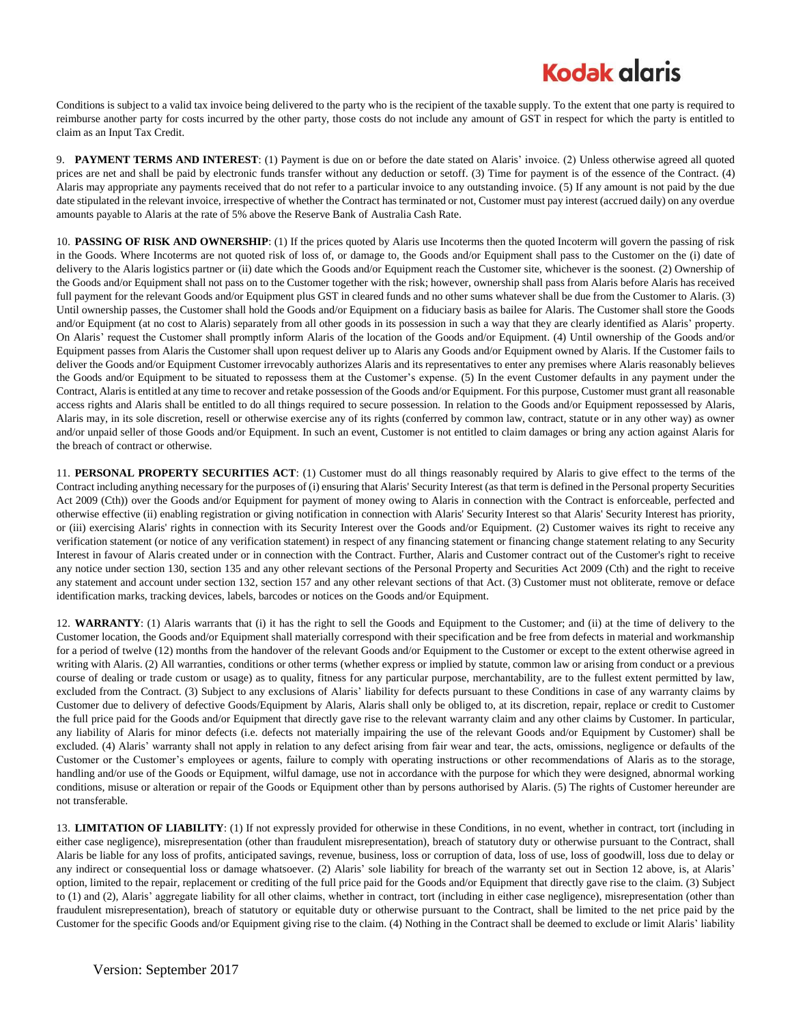# **Kodak glgris**

Conditions is subject to a valid tax invoice being delivered to the party who is the recipient of the taxable supply. To the extent that one party is required to reimburse another party for costs incurred by the other party, those costs do not include any amount of GST in respect for which the party is entitled to claim as an Input Tax Credit.

9. **PAYMENT TERMS AND INTEREST**: (1) Payment is due on or before the date stated on Alaris' invoice. (2) Unless otherwise agreed all quoted prices are net and shall be paid by electronic funds transfer without any deduction or setoff. (3) Time for payment is of the essence of the Contract. (4) Alaris may appropriate any payments received that do not refer to a particular invoice to any outstanding invoice. (5) If any amount is not paid by the due date stipulated in the relevant invoice, irrespective of whether the Contract has terminated or not, Customer must pay interest (accrued daily) on any overdue amounts payable to Alaris at the rate of 5% above the Reserve Bank of Australia Cash Rate.

10. **PASSING OF RISK AND OWNERSHIP**: (1) If the prices quoted by Alaris use Incoterms then the quoted Incoterm will govern the passing of risk in the Goods. Where Incoterms are not quoted risk of loss of, or damage to, the Goods and/or Equipment shall pass to the Customer on the (i) date of delivery to the Alaris logistics partner or (ii) date which the Goods and/or Equipment reach the Customer site, whichever is the soonest. (2) Ownership of the Goods and/or Equipment shall not pass on to the Customer together with the risk; however, ownership shall pass from Alaris before Alaris has received full payment for the relevant Goods and/or Equipment plus GST in cleared funds and no other sums whatever shall be due from the Customer to Alaris. (3) Until ownership passes, the Customer shall hold the Goods and/or Equipment on a fiduciary basis as bailee for Alaris. The Customer shall store the Goods and/or Equipment (at no cost to Alaris) separately from all other goods in its possession in such a way that they are clearly identified as Alaris' property. On Alaris' request the Customer shall promptly inform Alaris of the location of the Goods and/or Equipment. (4) Until ownership of the Goods and/or Equipment passes from Alaris the Customer shall upon request deliver up to Alaris any Goods and/or Equipment owned by Alaris. If the Customer fails to deliver the Goods and/or Equipment Customer irrevocably authorizes Alaris and its representatives to enter any premises where Alaris reasonably believes the Goods and/or Equipment to be situated to repossess them at the Customer's expense. (5) In the event Customer defaults in any payment under the Contract, Alaris is entitled at any time to recover and retake possession of the Goods and/or Equipment. For this purpose, Customer must grant all reasonable access rights and Alaris shall be entitled to do all things required to secure possession. In relation to the Goods and/or Equipment repossessed by Alaris, Alaris may, in its sole discretion, resell or otherwise exercise any of its rights (conferred by common law, contract, statute or in any other way) as owner and/or unpaid seller of those Goods and/or Equipment. In such an event, Customer is not entitled to claim damages or bring any action against Alaris for the breach of contract or otherwise.

11. **PERSONAL PROPERTY SECURITIES ACT**: (1) Customer must do all things reasonably required by Alaris to give effect to the terms of the Contract including anything necessary for the purposes of (i) ensuring that Alaris' Security Interest (as that term is defined in the Personal property Securities Act 2009 (Cth)) over the Goods and/or Equipment for payment of money owing to Alaris in connection with the Contract is enforceable, perfected and otherwise effective (ii) enabling registration or giving notification in connection with Alaris' Security Interest so that Alaris' Security Interest has priority, or (iii) exercising Alaris' rights in connection with its Security Interest over the Goods and/or Equipment. (2) Customer waives its right to receive any verification statement (or notice of any verification statement) in respect of any financing statement or financing change statement relating to any Security Interest in favour of Alaris created under or in connection with the Contract. Further, Alaris and Customer contract out of the Customer's right to receive any notice under section 130, section 135 and any other relevant sections of the Personal Property and Securities Act 2009 (Cth) and the right to receive any statement and account under section 132, section 157 and any other relevant sections of that Act. (3) Customer must not obliterate, remove or deface identification marks, tracking devices, labels, barcodes or notices on the Goods and/or Equipment.

12. **WARRANTY**: (1) Alaris warrants that (i) it has the right to sell the Goods and Equipment to the Customer; and (ii) at the time of delivery to the Customer location, the Goods and/or Equipment shall materially correspond with their specification and be free from defects in material and workmanship for a period of twelve (12) months from the handover of the relevant Goods and/or Equipment to the Customer or except to the extent otherwise agreed in writing with Alaris. (2) All warranties, conditions or other terms (whether express or implied by statute, common law or arising from conduct or a previous course of dealing or trade custom or usage) as to quality, fitness for any particular purpose, merchantability, are to the fullest extent permitted by law, excluded from the Contract. (3) Subject to any exclusions of Alaris' liability for defects pursuant to these Conditions in case of any warranty claims by Customer due to delivery of defective Goods/Equipment by Alaris, Alaris shall only be obliged to, at its discretion, repair, replace or credit to Customer the full price paid for the Goods and/or Equipment that directly gave rise to the relevant warranty claim and any other claims by Customer. In particular, any liability of Alaris for minor defects (i.e. defects not materially impairing the use of the relevant Goods and/or Equipment by Customer) shall be excluded. (4) Alaris' warranty shall not apply in relation to any defect arising from fair wear and tear, the acts, omissions, negligence or defaults of the Customer or the Customer's employees or agents, failure to comply with operating instructions or other recommendations of Alaris as to the storage, handling and/or use of the Goods or Equipment, wilful damage, use not in accordance with the purpose for which they were designed, abnormal working conditions, misuse or alteration or repair of the Goods or Equipment other than by persons authorised by Alaris. (5) The rights of Customer hereunder are not transferable.

13. **LIMITATION OF LIABILITY**: (1) If not expressly provided for otherwise in these Conditions, in no event, whether in contract, tort (including in either case negligence), misrepresentation (other than fraudulent misrepresentation), breach of statutory duty or otherwise pursuant to the Contract, shall Alaris be liable for any loss of profits, anticipated savings, revenue, business, loss or corruption of data, loss of use, loss of goodwill, loss due to delay or any indirect or consequential loss or damage whatsoever. (2) Alaris' sole liability for breach of the warranty set out in Section 12 above, is, at Alaris' option, limited to the repair, replacement or crediting of the full price paid for the Goods and/or Equipment that directly gave rise to the claim. (3) Subject to (1) and (2), Alaris' aggregate liability for all other claims, whether in contract, tort (including in either case negligence), misrepresentation (other than fraudulent misrepresentation), breach of statutory or equitable duty or otherwise pursuant to the Contract, shall be limited to the net price paid by the Customer for the specific Goods and/or Equipment giving rise to the claim. (4) Nothing in the Contract shall be deemed to exclude or limit Alaris' liability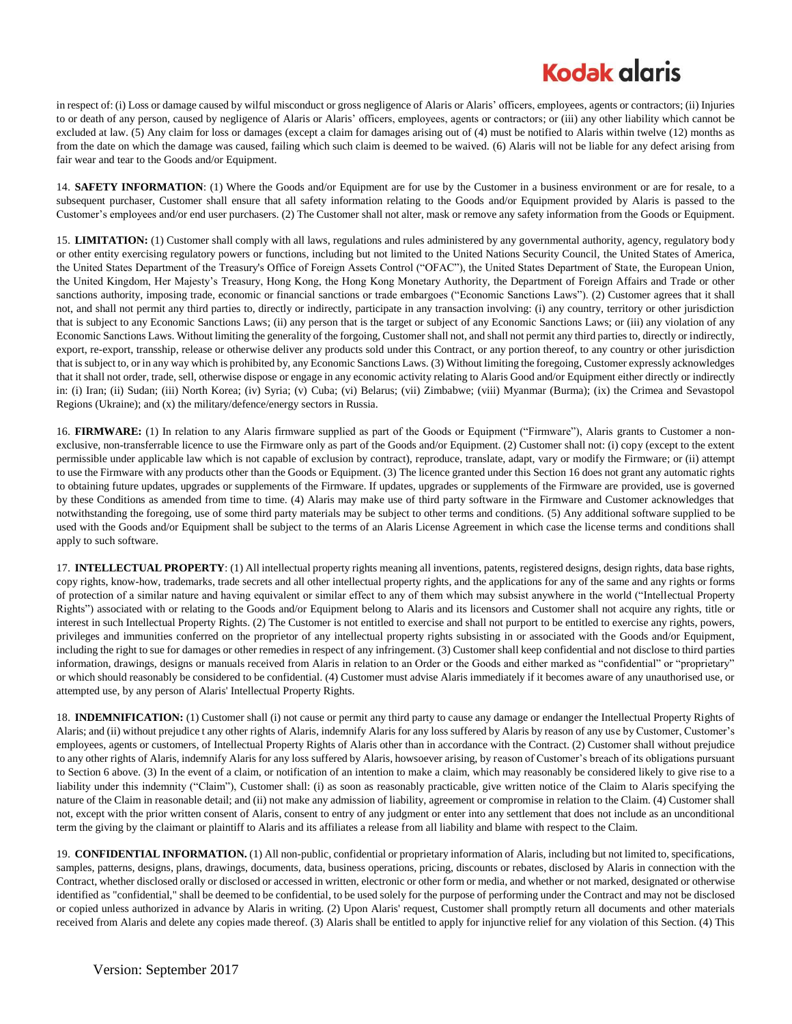## **Kodak glaris**

in respect of: (i) Loss or damage caused by wilful misconduct or gross negligence of Alaris or Alaris' officers, employees, agents or contractors; (ii) Injuries to or death of any person, caused by negligence of Alaris or Alaris' officers, employees, agents or contractors; or (iii) any other liability which cannot be excluded at law. (5) Any claim for loss or damages (except a claim for damages arising out of (4) must be notified to Alaris within twelve (12) months as from the date on which the damage was caused, failing which such claim is deemed to be waived. (6) Alaris will not be liable for any defect arising from fair wear and tear to the Goods and/or Equipment.

14. **SAFETY INFORMATION**: (1) Where the Goods and/or Equipment are for use by the Customer in a business environment or are for resale, to a subsequent purchaser, Customer shall ensure that all safety information relating to the Goods and/or Equipment provided by Alaris is passed to the Customer's employees and/or end user purchasers. (2) The Customer shall not alter, mask or remove any safety information from the Goods or Equipment.

15. **LIMITATION:** (1) Customer shall comply with all laws, regulations and rules administered by any governmental authority, agency, regulatory body or other entity exercising regulatory powers or functions, including but not limited to the United Nations Security Council, the United States of America, the United States Department of the Treasury's Office of Foreign Assets Control ("OFAC"), the United States Department of State, the European Union, the United Kingdom, Her Majesty's Treasury, Hong Kong, the Hong Kong Monetary Authority, the Department of Foreign Affairs and Trade or other sanctions authority, imposing trade, economic or financial sanctions or trade embargoes ("Economic Sanctions Laws"). (2) Customer agrees that it shall not, and shall not permit any third parties to, directly or indirectly, participate in any transaction involving: (i) any country, territory or other jurisdiction that is subject to any Economic Sanctions Laws; (ii) any person that is the target or subject of any Economic Sanctions Laws; or (iii) any violation of any Economic Sanctions Laws. Without limiting the generality of the forgoing, Customer shall not, and shall not permit any third parties to, directly or indirectly, export, re-export, transship, release or otherwise deliver any products sold under this Contract, or any portion thereof, to any country or other jurisdiction that is subject to, or in any way which is prohibited by, any Economic Sanctions Laws. (3) Without limiting the foregoing, Customer expressly acknowledges that it shall not order, trade, sell, otherwise dispose or engage in any economic activity relating to Alaris Good and/or Equipment either directly or indirectly in: (i) Iran; (ii) Sudan; (iii) North Korea; (iv) Syria; (v) Cuba; (vi) Belarus; (vii) Zimbabwe; (viii) Myanmar (Burma); (ix) the Crimea and Sevastopol Regions (Ukraine); and (x) the military/defence/energy sectors in Russia.

16. **FIRMWARE:** (1) In relation to any Alaris firmware supplied as part of the Goods or Equipment ("Firmware"), Alaris grants to Customer a nonexclusive, non-transferrable licence to use the Firmware only as part of the Goods and/or Equipment. (2) Customer shall not: (i) copy (except to the extent permissible under applicable law which is not capable of exclusion by contract), reproduce, translate, adapt, vary or modify the Firmware; or (ii) attempt to use the Firmware with any products other than the Goods or Equipment. (3) The licence granted under this Section 16 does not grant any automatic rights to obtaining future updates, upgrades or supplements of the Firmware. If updates, upgrades or supplements of the Firmware are provided, use is governed by these Conditions as amended from time to time. (4) Alaris may make use of third party software in the Firmware and Customer acknowledges that notwithstanding the foregoing, use of some third party materials may be subject to other terms and conditions. (5) Any additional software supplied to be used with the Goods and/or Equipment shall be subject to the terms of an Alaris License Agreement in which case the license terms and conditions shall apply to such software.

17. **INTELLECTUAL PROPERTY**: (1) All intellectual property rights meaning all inventions, patents, registered designs, design rights, data base rights, copy rights, know-how, trademarks, trade secrets and all other intellectual property rights, and the applications for any of the same and any rights or forms of protection of a similar nature and having equivalent or similar effect to any of them which may subsist anywhere in the world ("Intellectual Property Rights") associated with or relating to the Goods and/or Equipment belong to Alaris and its licensors and Customer shall not acquire any rights, title or interest in such Intellectual Property Rights. (2) The Customer is not entitled to exercise and shall not purport to be entitled to exercise any rights, powers, privileges and immunities conferred on the proprietor of any intellectual property rights subsisting in or associated with the Goods and/or Equipment, including the right to sue for damages or other remedies in respect of any infringement. (3) Customer shall keep confidential and not disclose to third parties information, drawings, designs or manuals received from Alaris in relation to an Order or the Goods and either marked as "confidential" or "proprietary" or which should reasonably be considered to be confidential. (4) Customer must advise Alaris immediately if it becomes aware of any unauthorised use, or attempted use, by any person of Alaris' Intellectual Property Rights.

18. **INDEMNIFICATION:** (1) Customer shall (i) not cause or permit any third party to cause any damage or endanger the Intellectual Property Rights of Alaris; and (ii) without prejudice t any other rights of Alaris, indemnify Alaris for any loss suffered by Alaris by reason of any use by Customer, Customer's employees, agents or customers, of Intellectual Property Rights of Alaris other than in accordance with the Contract. (2) Customer shall without prejudice to any other rights of Alaris, indemnify Alaris for any loss suffered by Alaris, howsoever arising, by reason of Customer's breach of its obligations pursuant to Section 6 above. (3) In the event of a claim, or notification of an intention to make a claim, which may reasonably be considered likely to give rise to a liability under this indemnity ("Claim"), Customer shall: (i) as soon as reasonably practicable, give written notice of the Claim to Alaris specifying the nature of the Claim in reasonable detail; and (ii) not make any admission of liability, agreement or compromise in relation to the Claim. (4) Customer shall not, except with the prior written consent of Alaris, consent to entry of any judgment or enter into any settlement that does not include as an unconditional term the giving by the claimant or plaintiff to Alaris and its affiliates a release from all liability and blame with respect to the Claim.

19. **CONFIDENTIAL INFORMATION.** (1) All non-public, confidential or proprietary information of Alaris, including but not limited to, specifications, samples, patterns, designs, plans, drawings, documents, data, business operations, pricing, discounts or rebates, disclosed by Alaris in connection with the Contract, whether disclosed orally or disclosed or accessed in written, electronic or other form or media, and whether or not marked, designated or otherwise identified as "confidential," shall be deemed to be confidential, to be used solely for the purpose of performing under the Contract and may not be disclosed or copied unless authorized in advance by Alaris in writing. (2) Upon Alaris' request, Customer shall promptly return all documents and other materials received from Alaris and delete any copies made thereof. (3) Alaris shall be entitled to apply for injunctive relief for any violation of this Section. (4) This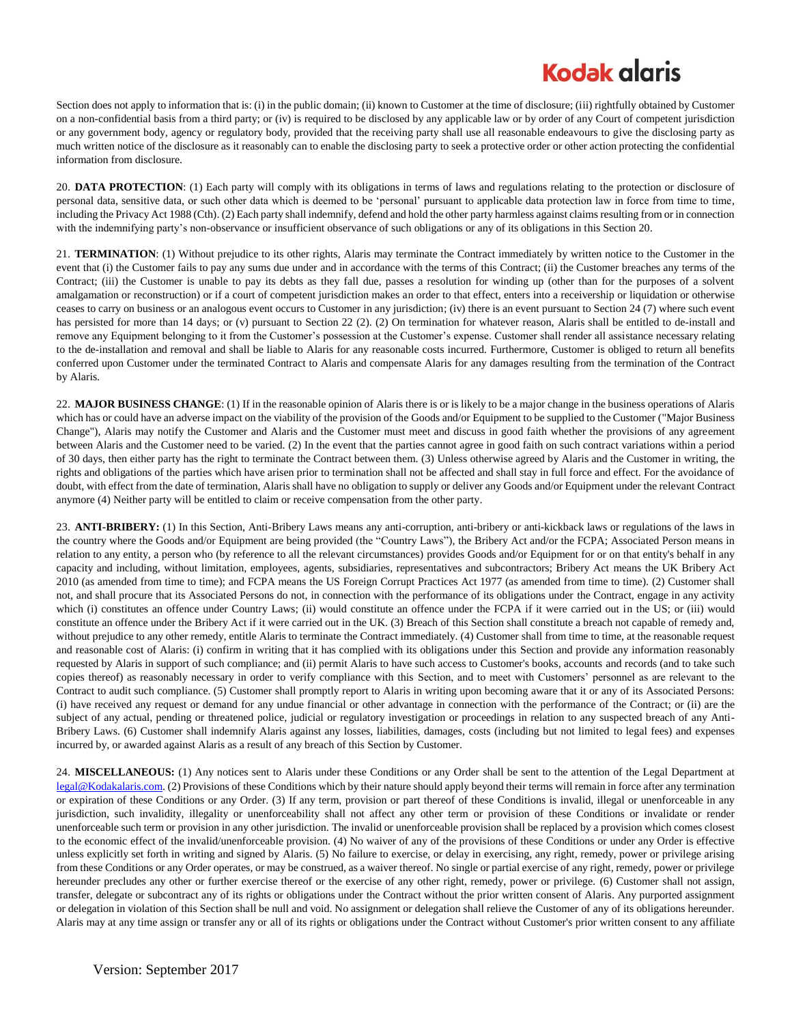# **Kodak glaris**

Section does not apply to information that is: (i) in the public domain; (ii) known to Customer at the time of disclosure; (iii) rightfully obtained by Customer on a non-confidential basis from a third party; or (iv) is required to be disclosed by any applicable law or by order of any Court of competent jurisdiction or any government body, agency or regulatory body, provided that the receiving party shall use all reasonable endeavours to give the disclosing party as much written notice of the disclosure as it reasonably can to enable the disclosing party to seek a protective order or other action protecting the confidential information from disclosure.

20. **DATA PROTECTION**: (1) Each party will comply with its obligations in terms of laws and regulations relating to the protection or disclosure of personal data, sensitive data, or such other data which is deemed to be 'personal' pursuant to applicable data protection law in force from time to time, including the Privacy Act 1988 (Cth). (2) Each party shall indemnify, defend and hold the other party harmless against claims resulting from or in connection with the indemnifying party's non-observance or insufficient observance of such obligations or any of its obligations in this Section 20.

21. **TERMINATION**: (1) Without prejudice to its other rights, Alaris may terminate the Contract immediately by written notice to the Customer in the event that (i) the Customer fails to pay any sums due under and in accordance with the terms of this Contract; (ii) the Customer breaches any terms of the Contract; (iii) the Customer is unable to pay its debts as they fall due, passes a resolution for winding up (other than for the purposes of a solvent amalgamation or reconstruction) or if a court of competent jurisdiction makes an order to that effect, enters into a receivership or liquidation or otherwise ceases to carry on business or an analogous event occurs to Customer in any jurisdiction; (iv) there is an event pursuant to Section 24 (7) where such event has persisted for more than 14 days; or (v) pursuant to Section 22 (2). (2) On termination for whatever reason, Alaris shall be entitled to de-install and remove any Equipment belonging to it from the Customer's possession at the Customer's expense. Customer shall render all assistance necessary relating to the de-installation and removal and shall be liable to Alaris for any reasonable costs incurred. Furthermore, Customer is obliged to return all benefits conferred upon Customer under the terminated Contract to Alaris and compensate Alaris for any damages resulting from the termination of the Contract by Alaris.

22. **MAJOR BUSINESS CHANGE**: (1) If in the reasonable opinion of Alaris there is or is likely to be a major change in the business operations of Alaris which has or could have an adverse impact on the viability of the provision of the Goods and/or Equipment to be supplied to the Customer ("Major Business Change"), Alaris may notify the Customer and Alaris and the Customer must meet and discuss in good faith whether the provisions of any agreement between Alaris and the Customer need to be varied. (2) In the event that the parties cannot agree in good faith on such contract variations within a period of 30 days, then either party has the right to terminate the Contract between them. (3) Unless otherwise agreed by Alaris and the Customer in writing, the rights and obligations of the parties which have arisen prior to termination shall not be affected and shall stay in full force and effect. For the avoidance of doubt, with effect from the date of termination, Alaris shall have no obligation to supply or deliver any Goods and/or Equipment under the relevant Contract anymore (4) Neither party will be entitled to claim or receive compensation from the other party.

23. **ANTI-BRIBERY:** (1) In this Section, Anti-Bribery Laws means any anti-corruption, anti-bribery or anti-kickback laws or regulations of the laws in the country where the Goods and/or Equipment are being provided (the "Country Laws"), the Bribery Act and/or the FCPA; Associated Person means in relation to any entity, a person who (by reference to all the relevant circumstances) provides Goods and/or Equipment for or on that entity's behalf in any capacity and including, without limitation, employees, agents, subsidiaries, representatives and subcontractors; Bribery Act means the UK Bribery Act 2010 (as amended from time to time); and FCPA means the US Foreign Corrupt Practices Act 1977 (as amended from time to time). (2) Customer shall not, and shall procure that its Associated Persons do not, in connection with the performance of its obligations under the Contract, engage in any activity which (i) constitutes an offence under Country Laws; (ii) would constitute an offence under the FCPA if it were carried out in the US; or (iii) would constitute an offence under the Bribery Act if it were carried out in the UK. (3) Breach of this Section shall constitute a breach not capable of remedy and, without prejudice to any other remedy, entitle Alaris to terminate the Contract immediately. (4) Customer shall from time to time, at the reasonable request and reasonable cost of Alaris: (i) confirm in writing that it has complied with its obligations under this Section and provide any information reasonably requested by Alaris in support of such compliance; and (ii) permit Alaris to have such access to Customer's books, accounts and records (and to take such copies thereof) as reasonably necessary in order to verify compliance with this Section, and to meet with Customers' personnel as are relevant to the Contract to audit such compliance. (5) Customer shall promptly report to Alaris in writing upon becoming aware that it or any of its Associated Persons: (i) have received any request or demand for any undue financial or other advantage in connection with the performance of the Contract; or (ii) are the subject of any actual, pending or threatened police, judicial or regulatory investigation or proceedings in relation to any suspected breach of any Anti-Bribery Laws. (6) Customer shall indemnify Alaris against any losses, liabilities, damages, costs (including but not limited to legal fees) and expenses incurred by, or awarded against Alaris as a result of any breach of this Section by Customer.

24. **MISCELLANEOUS:** (1) Any notices sent to Alaris under these Conditions or any Order shall be sent to the attention of the Legal Department at [legal@Kodakalaris.com.](mailto:legal@Kodakalaris.com) (2) Provisions of these Conditions which by their nature should apply beyond their terms will remain in force after any termination or expiration of these Conditions or any Order. (3) If any term, provision or part thereof of these Conditions is invalid, illegal or unenforceable in any jurisdiction, such invalidity, illegality or unenforceability shall not affect any other term or provision of these Conditions or invalidate or render unenforceable such term or provision in any other jurisdiction. The invalid or unenforceable provision shall be replaced by a provision which comes closest to the economic effect of the invalid/unenforceable provision. (4) No waiver of any of the provisions of these Conditions or under any Order is effective unless explicitly set forth in writing and signed by Alaris. (5) No failure to exercise, or delay in exercising, any right, remedy, power or privilege arising from these Conditions or any Order operates, or may be construed, as a waiver thereof. No single or partial exercise of any right, remedy, power or privilege hereunder precludes any other or further exercise thereof or the exercise of any other right, remedy, power or privilege. (6) Customer shall not assign, transfer, delegate or subcontract any of its rights or obligations under the Contract without the prior written consent of Alaris. Any purported assignment or delegation in violation of this Section shall be null and void. No assignment or delegation shall relieve the Customer of any of its obligations hereunder. Alaris may at any time assign or transfer any or all of its rights or obligations under the Contract without Customer's prior written consent to any affiliate